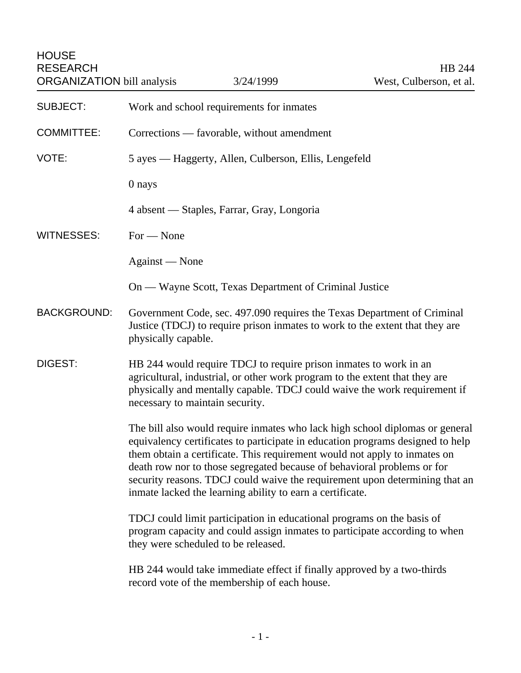HOUSE RESEARCH<br>
ORGANIZATION bill analysis 3/24/1999 (West, Culberson, et al. ORGANIZATION bill analysis

| <b>SUBJECT:</b>    | Work and school requirements for inmates                                                                                                                                                                                                                                                                                                                                                                                                                           |
|--------------------|--------------------------------------------------------------------------------------------------------------------------------------------------------------------------------------------------------------------------------------------------------------------------------------------------------------------------------------------------------------------------------------------------------------------------------------------------------------------|
| <b>COMMITTEE:</b>  | Corrections — favorable, without amendment                                                                                                                                                                                                                                                                                                                                                                                                                         |
| VOTE:              | 5 ayes — Haggerty, Allen, Culberson, Ellis, Lengefeld                                                                                                                                                                                                                                                                                                                                                                                                              |
|                    | 0 nays                                                                                                                                                                                                                                                                                                                                                                                                                                                             |
|                    | 4 absent — Staples, Farrar, Gray, Longoria                                                                                                                                                                                                                                                                                                                                                                                                                         |
| <b>WITNESSES:</b>  | $For - None$                                                                                                                                                                                                                                                                                                                                                                                                                                                       |
|                    | Against — None                                                                                                                                                                                                                                                                                                                                                                                                                                                     |
|                    | On — Wayne Scott, Texas Department of Criminal Justice                                                                                                                                                                                                                                                                                                                                                                                                             |
| <b>BACKGROUND:</b> | Government Code, sec. 497.090 requires the Texas Department of Criminal<br>Justice (TDCJ) to require prison inmates to work to the extent that they are<br>physically capable.                                                                                                                                                                                                                                                                                     |
| DIGEST:            | HB 244 would require TDCJ to require prison inmates to work in an<br>agricultural, industrial, or other work program to the extent that they are<br>physically and mentally capable. TDCJ could waive the work requirement if<br>necessary to maintain security.                                                                                                                                                                                                   |
|                    | The bill also would require inmates who lack high school diplomas or general<br>equivalency certificates to participate in education programs designed to help<br>them obtain a certificate. This requirement would not apply to inmates on<br>death row nor to those segregated because of behavioral problems or for<br>security reasons. TDCJ could waive the requirement upon determining that an<br>inmate lacked the learning ability to earn a certificate. |
|                    | TDCJ could limit participation in educational programs on the basis of<br>program capacity and could assign inmates to participate according to when<br>they were scheduled to be released.                                                                                                                                                                                                                                                                        |
|                    | HB 244 would take immediate effect if finally approved by a two-thirds<br>record vote of the membership of each house.                                                                                                                                                                                                                                                                                                                                             |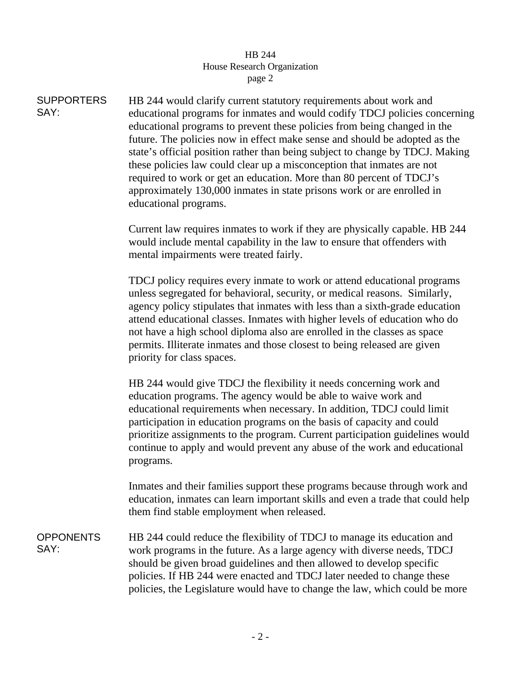## HB 244 House Research Organization page 2

**SUPPORTERS** SAY: HB 244 would clarify current statutory requirements about work and educational programs for inmates and would codify TDCJ policies concerning educational programs to prevent these policies from being changed in the future. The policies now in effect make sense and should be adopted as the state's official position rather than being subject to change by TDCJ. Making these policies law could clear up a misconception that inmates are not required to work or get an education. More than 80 percent of TDCJ's approximately 130,000 inmates in state prisons work or are enrolled in educational programs.

> Current law requires inmates to work if they are physically capable. HB 244 would include mental capability in the law to ensure that offenders with mental impairments were treated fairly.

TDCJ policy requires every inmate to work or attend educational programs unless segregated for behavioral, security, or medical reasons. Similarly, agency policy stipulates that inmates with less than a sixth-grade education attend educational classes. Inmates with higher levels of education who do not have a high school diploma also are enrolled in the classes as space permits. Illiterate inmates and those closest to being released are given priority for class spaces.

HB 244 would give TDCJ the flexibility it needs concerning work and education programs. The agency would be able to waive work and educational requirements when necessary. In addition, TDCJ could limit participation in education programs on the basis of capacity and could prioritize assignments to the program. Current participation guidelines would continue to apply and would prevent any abuse of the work and educational programs.

Inmates and their families support these programs because through work and education, inmates can learn important skills and even a trade that could help them find stable employment when released.

**OPPONENTS** SAY: HB 244 could reduce the flexibility of TDCJ to manage its education and work programs in the future. As a large agency with diverse needs, TDCJ should be given broad guidelines and then allowed to develop specific policies. If HB 244 were enacted and TDCJ later needed to change these policies, the Legislature would have to change the law, which could be more